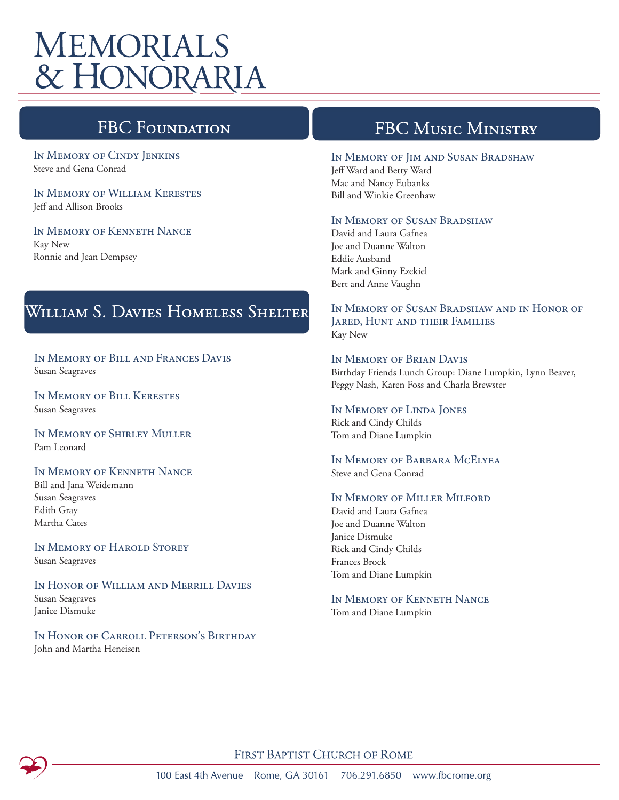# **MEMORIALS** & HONORARIA

## **FBC Foundati**

In Memory of Cindy Jenkins Steve and Gena Conrad

In Memory of William Kerestes Jeff and Allison Brooks

In Memory of Kenneth Nance Kay New Ronnie and Jean Dempsey

# WILLIAM S. DAVIES HOMELESS SHELTER

In Memory of Bill and Frances Davis Susan Seagraves

In Memory of Bill Kerestes Susan Seagraves

In Memory of Shirley Muller Pam Leonard

#### In Memory of Kenneth Nance

Bill and Jana Weidemann Susan Seagraves Edith Gray Martha Cates

In Memory of Harold Storey Susan Seagraves

In Honor of William and Merrill Davies Susan Seagraves Janice Dismuke

In Honor of Carroll Peterson's Birthday John and Martha Heneisen

### **FBC MUSIC MINISTRY**

#### In Memory of Jim and Susan Bradshaw

Jeff Ward and Betty Ward Mac and Nancy Eubanks Bill and Winkie Greenhaw

### In Memory of Susan Bradshaw

David and Laura Gafnea Joe and Duanne Walton Eddie Ausband Mark and Ginny Ezekiel Bert and Anne Vaughn

In Memory of Susan Bradshaw and in Honor of Jared, Hunt and their Families Kay New

In Memory of Brian Davis Birthday Friends Lunch Group: Diane Lumpkin, Lynn Beaver, Peggy Nash, Karen Foss and Charla Brewster

In Memory of Linda Jones Rick and Cindy Childs Tom and Diane Lumpkin

In Memory of Barbara McElyea Steve and Gena Conrad

#### In Memory of Miller Milford

David and Laura Gafnea Joe and Duanne Walton Janice Dismuke Rick and Cindy Childs Frances Brock Tom and Diane Lumpkin

In Memory of Kenneth Nance

Tom and Diane Lumpkin

FIRST BAPTIST CHURCH OF ROME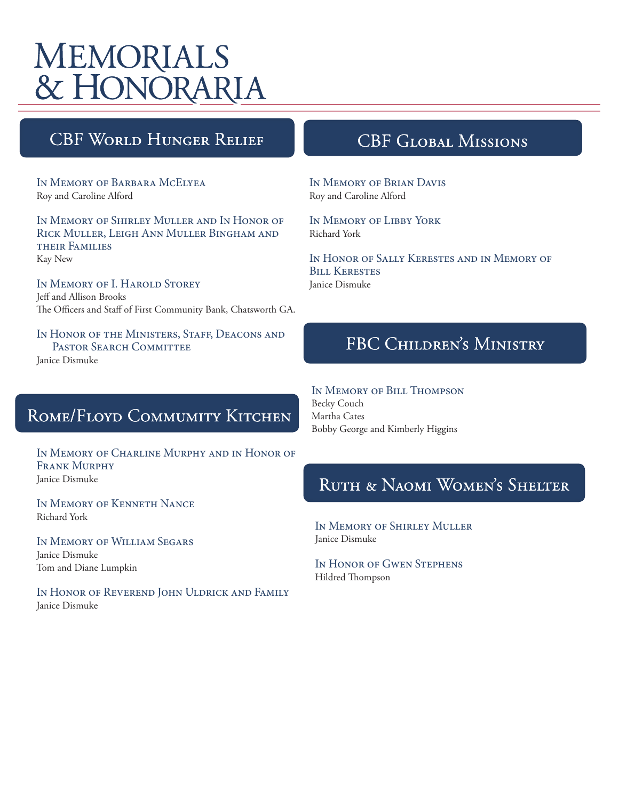# **MEMORIALS** & HONORARIA

## **CBF WORLD HUNGER RELIEF**

In Memory of Barbara McElyea Roy and Caroline Alford

In Memory of Shirley Muller and In Honor of Rick Muller, Leigh Ann Muller Bingham and their Families Kay New

In Memory of I. Harold Storey Jeff and Allison Brooks The Officers and Staff of First Community Bank, Chatsworth GA.

IN HONOR OF THE MINISTERS, STAFF, DEACONS AND PASTOR SEARCH COMMITTEE Janice Dismuke

## ROME/FLOYD COMMUMITY KITCHEN

In Memory of Charline Murphy and in Honor of FRANK MURPHY Janice Dismuke

In Memory of Kenneth Nance Richard York

In Memory of William Segars Janice Dismuke Tom and Diane Lumpkin

In Honor of Reverend John Uldrick and Family Janice Dismuke

### **CBF GLOBAL MISSIONS**

In Memory of Brian Davis Roy and Caroline Alford

In Memory of Libby York Richard York

In Honor of Sally Kerestes and in Memory of Bill Kerestes Janice Dismuke

## FBC CHILDREN'S MINISTRY

In Memory of Bill Thompson

Becky Couch Martha Cates Bobby George and Kimberly Higgins

### RUTH & NAOMI WOMEN'S SHELTER

In Memory of Shirley Muller Janice Dismuke

In Honor of Gwen Stephens Hildred Thompson